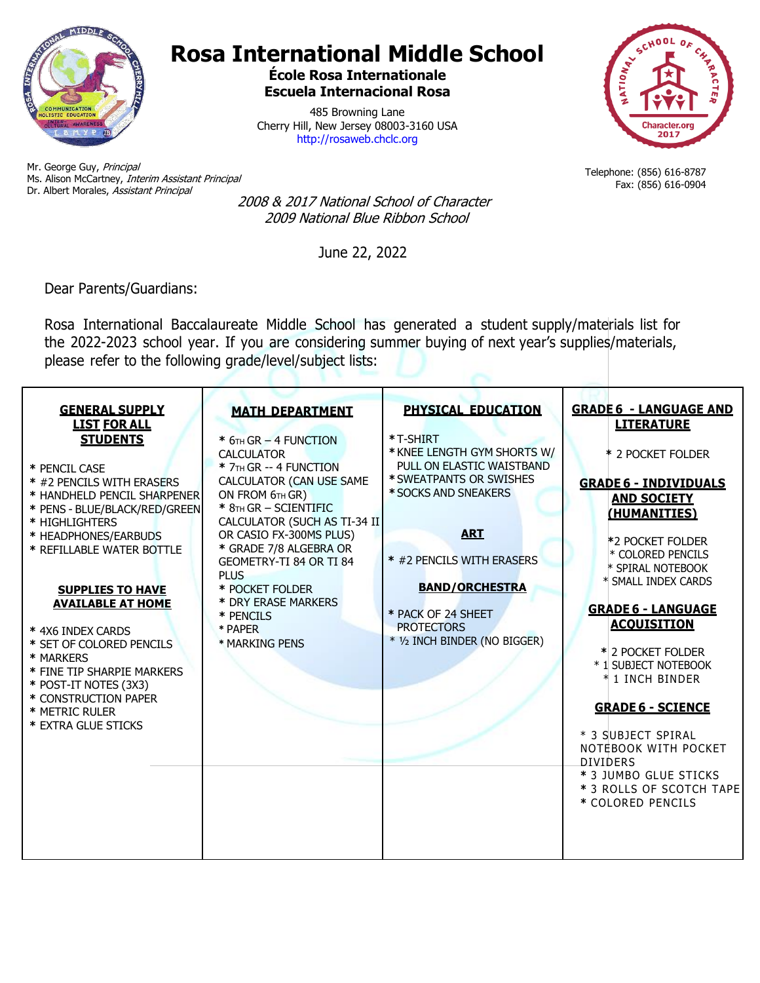

## **Rosa International Middle School**

**École Rosa Internationale Escuela Internacional Rosa**

485 Browning Lane Cherry Hill, New Jersey 08003-3160 USA http://rosaweb.chclc.org





Telephone: (856) 616-8787 Fax: (856) 616-0904

 2008 & 2017 National School of Character 2009 National Blue Ribbon School

June 22, 2022

Dear Parents/Guardians:

Rosa International Baccalaureate Middle School has generated a student supply/materials list for the 2022-2023 school year. If you are considering summer buying of next year's supplies/materials, please refer to the following grade/level/subject lists:

| <b>GENERAL SUPPLY</b><br><b>LIST FOR ALL</b><br><b>STUDENTS</b><br>* PENCIL CASE<br>* #2 PENCILS WITH ERASERS<br>* HANDHELD PENCIL SHARPENER<br>* PENS - BLUE/BLACK/RED/GREEN<br>* HIGHLIGHTERS<br>* HEADPHONES/EARBUDS<br>* REFILLABLE WATER BOTTLE<br><b>SUPPLIES TO HAVE</b><br><b>AVAILABLE AT HOME</b><br>* 4X6 INDEX CARDS<br>* SET OF COLORED PENCILS | <b>MATH DEPARTMENT</b><br>$*$ 6 <sub>TH</sub> GR $-$ 4 FUNCTION<br><b>CALCULATOR</b><br>* 7TH GR -- 4 FUNCTION<br>CALCULATOR (CAN USE SAME<br>ON FROM 6TH GR)<br>$* 8TH$ GR - SCIENTIFIC<br>CALCULATOR (SUCH AS TI-34 II<br>OR CASIO FX-300MS PLUS)<br>* GRADE 7/8 ALGEBRA OR<br>GEOMETRY-TI 84 OR TI 84<br><b>PLUS</b><br>* POCKET FOLDER<br>* DRY ERASE MARKERS<br>* PENCILS<br>* PAPER<br>* MARKING PENS | <b>PHYSICAL EDUCATION</b><br>*T-SHIRT<br>* KNEE LENGTH GYM SHORTS W/<br>PULL ON ELASTIC WAISTBAND<br>* SWEATPANTS OR SWISHES<br>* SOCKS AND SNEAKERS<br><b>ART</b><br>* #2 PENCILS WITH ERASERS<br><b>BAND/ORCHESTRA</b><br>* PACK OF 24 SHEET<br><b>PROTECTORS</b><br>* 1/2 INCH BINDER (NO BIGGER) | <b>GRADE 6 - LANGUAGE AND</b><br><b>LITERATURE</b><br>* 2 POCKET FOLDER<br><b>GRADE 6 - INDIVIDUALS</b><br><b>AND SOCIETY</b><br>(HUMANITIES)<br>*2 POCKET FOLDER<br>* COLORED PENCILS<br>* SPIRAL NOTEBOOK<br>* SMALL INDEX CARDS<br><b>GRADE 6 - LANGUAGE</b><br><b>ACOUISITION</b><br>* 2 POCKET FOLDER |
|--------------------------------------------------------------------------------------------------------------------------------------------------------------------------------------------------------------------------------------------------------------------------------------------------------------------------------------------------------------|-------------------------------------------------------------------------------------------------------------------------------------------------------------------------------------------------------------------------------------------------------------------------------------------------------------------------------------------------------------------------------------------------------------|------------------------------------------------------------------------------------------------------------------------------------------------------------------------------------------------------------------------------------------------------------------------------------------------------|------------------------------------------------------------------------------------------------------------------------------------------------------------------------------------------------------------------------------------------------------------------------------------------------------------|
| * MARKERS<br>* FINE TIP SHARPIE MARKERS<br>* POST-IT NOTES (3X3)<br>* CONSTRUCTION PAPER<br>* METRIC RULER<br>* EXTRA GLUE STICKS                                                                                                                                                                                                                            |                                                                                                                                                                                                                                                                                                                                                                                                             |                                                                                                                                                                                                                                                                                                      | * 1 SUBJECT NOTEBOOK<br>* 1 INCH BINDER<br><b>GRADE 6 - SCIENCE</b><br>* 3 SUBJECT SPIRAL<br>NOTEBOOK WITH POCKET<br><b>DIVIDERS</b><br>* 3 JUMBO GLUE STICKS<br>* 3 ROLLS OF SCOTCH TAPE<br>* COLORED PENCILS                                                                                             |